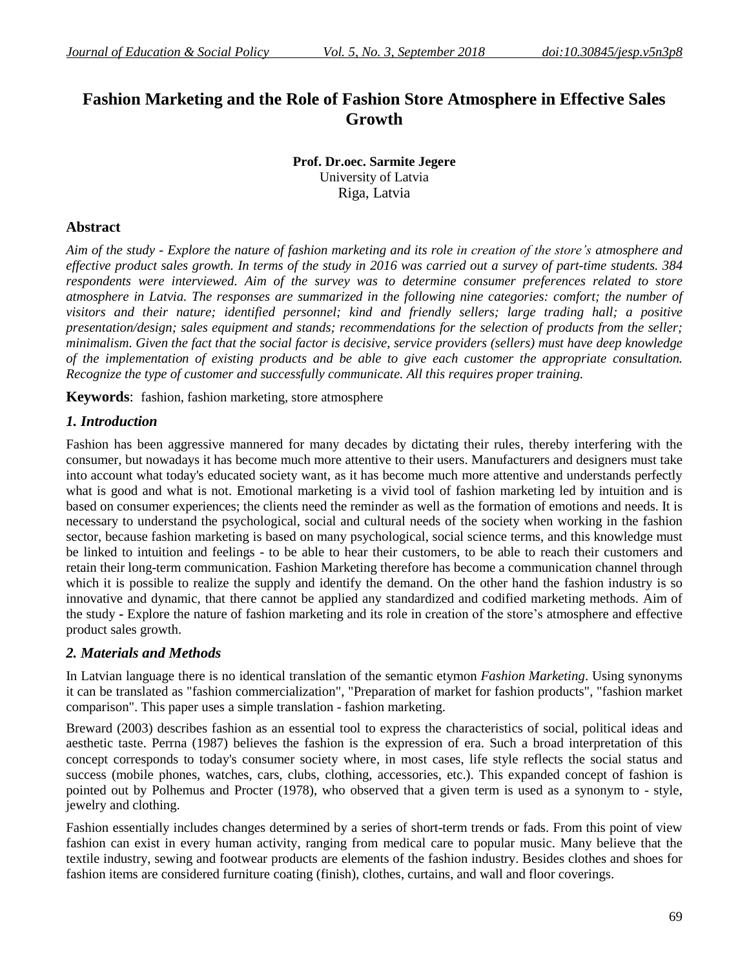# **Fashion Marketing and the Role of Fashion Store Atmosphere in Effective Sales Growth**

**Prof. Dr.oec. Sarmite Jegere** University of Latvia Riga, Latvia

# **Abstract**

*Aim of the study - Explore the nature of fashion marketing and its role in creation of the store's atmosphere and effective product sales growth. In terms of the study in 2016 was carried out a survey of part-time students. 384 respondents were interviewed. Aim of the survey was to determine consumer preferences related to store atmosphere in Latvia. The responses are summarized in the following nine categories: comfort; the number of visitors and their nature; identified personnel; kind and friendly sellers; large trading hall; a positive presentation/design; sales equipment and stands; recommendations for the selection of products from the seller; minimalism. Given the fact that the social factor is decisive, service providers (sellers) must have deep knowledge of the implementation of existing products and be able to give each customer the appropriate consultation. Recognize the type of customer and successfully communicate. All this requires proper training.*

**Keywords**: fashion, fashion marketing, store atmosphere

## *1. Introduction*

Fashion has been aggressive mannered for many decades by dictating their rules, thereby interfering with the consumer, but nowadays it has become much more attentive to their users. Manufacturers and designers must take into account what today's educated society want, as it has become much more attentive and understands perfectly what is good and what is not. Emotional marketing is a vivid tool of fashion marketing led by intuition and is based on consumer experiences; the clients need the reminder as well as the formation of emotions and needs. It is necessary to understand the psychological, social and cultural needs of the society when working in the fashion sector, because fashion marketing is based on many psychological, social science terms, and this knowledge must be linked to intuition and feelings - to be able to hear their customers, to be able to reach their customers and retain their long-term communication. Fashion Marketing therefore has become a communication channel through which it is possible to realize the supply and identify the demand. On the other hand the fashion industry is so innovative and dynamic, that there cannot be applied any standardized and codified marketing methods. Aim of the study **-** Explore the nature of fashion marketing and its role in creation of the store's atmosphere and effective product sales growth.

## *2. Materials and Methods*

In Latvian language there is no identical translation of the semantic etymon *Fashion Marketing*. Using synonyms it can be translated as "fashion commercialization", "Preparation of market for fashion products", "fashion market comparison". This paper uses a simple translation - fashion marketing.

Breward (2003) describes fashion as an essential tool to express the characteristics of social, political ideas and aesthetic taste. Perrna (1987) believes the fashion is the expression of era. Such a broad interpretation of this concept corresponds to today's consumer society where, in most cases, life style reflects the social status and success (mobile phones, watches, cars, clubs, clothing, accessories, etc.). This expanded concept of fashion is pointed out by Polhemus and Procter (1978), who observed that a given term is used as a synonym to - style, jewelry and clothing.

Fashion essentially includes changes determined by a series of short-term trends or fads. From this point of view fashion can exist in every human activity, ranging from medical care to popular music. Many believe that the textile industry, sewing and footwear products are elements of the fashion industry. Besides clothes and shoes for fashion items are considered furniture coating (finish), clothes, curtains, and wall and floor coverings.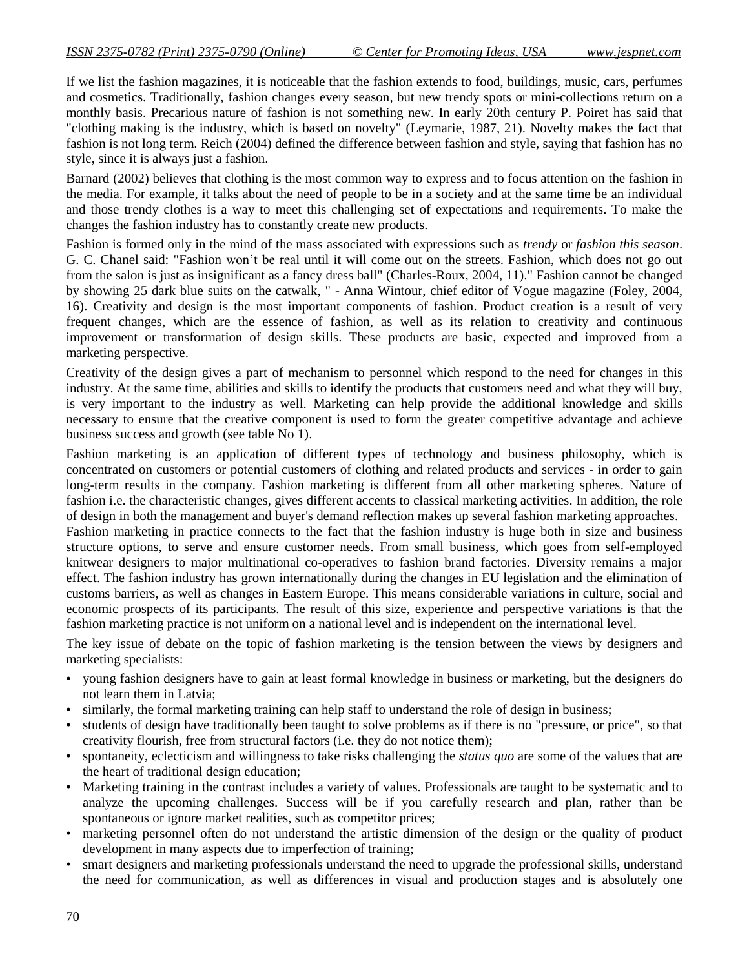If we list the fashion magazines, it is noticeable that the fashion extends to food, buildings, music, cars, perfumes and cosmetics. Traditionally, fashion changes every season, but new trendy spots or mini-collections return on a monthly basis. Precarious nature of fashion is not something new. In early 20th century P. Poiret has said that "clothing making is the industry, which is based on novelty" (Leymarie, 1987, 21). Novelty makes the fact that fashion is not long term. Reich (2004) defined the difference between fashion and style, saying that fashion has no style, since it is always just a fashion.

Barnard (2002) believes that clothing is the most common way to express and to focus attention on the fashion in the media. For example, it talks about the need of people to be in a society and at the same time be an individual and those trendy clothes is a way to meet this challenging set of expectations and requirements. To make the changes the fashion industry has to constantly create new products.

Fashion is formed only in the mind of the mass associated with expressions such as *trendy* or *fashion this season*. G. C. Chanel said: "Fashion won't be real until it will come out on the streets. Fashion, which does not go out from the salon is just as insignificant as a fancy dress ball" (Charles-Roux, 2004, 11)." Fashion cannot be changed by showing 25 dark blue suits on the catwalk, " - Anna Wintour, chief editor of Vogue magazine (Foley, 2004, 16). Creativity and design is the most important components of fashion. Product creation is a result of very frequent changes, which are the essence of fashion, as well as its relation to creativity and continuous improvement or transformation of design skills. These products are basic, expected and improved from a marketing perspective.

Creativity of the design gives a part of mechanism to personnel which respond to the need for changes in this industry. At the same time, abilities and skills to identify the products that customers need and what they will buy, is very important to the industry as well. Marketing can help provide the additional knowledge and skills necessary to ensure that the creative component is used to form the greater competitive advantage and achieve business success and growth (see table No 1).

Fashion marketing is an application of different types of technology and business philosophy, which is concentrated on customers or potential customers of clothing and related products and services - in order to gain long-term results in the company. Fashion marketing is different from all other marketing spheres. Nature of fashion i.e. the characteristic changes, gives different accents to classical marketing activities. In addition, the role of design in both the management and buyer's demand reflection makes up several fashion marketing approaches.

Fashion marketing in practice connects to the fact that the fashion industry is huge both in size and business structure options, to serve and ensure customer needs. From small business, which goes from self-employed knitwear designers to major multinational co-operatives to fashion brand factories. Diversity remains a major effect. The fashion industry has grown internationally during the changes in EU legislation and the elimination of customs barriers, as well as changes in Eastern Europe. This means considerable variations in culture, social and economic prospects of its participants. The result of this size, experience and perspective variations is that the fashion marketing practice is not uniform on a national level and is independent on the international level.

The key issue of debate on the topic of fashion marketing is the tension between the views by designers and marketing specialists:

- young fashion designers have to gain at least formal knowledge in business or marketing, but the designers do not learn them in Latvia;
- similarly, the formal marketing training can help staff to understand the role of design in business;
- students of design have traditionally been taught to solve problems as if there is no "pressure, or price", so that creativity flourish, free from structural factors (i.e. they do not notice them);
- spontaneity, eclecticism and willingness to take risks challenging the *status quo* are some of the values that are the heart of traditional design education;
- Marketing training in the contrast includes a variety of values. Professionals are taught to be systematic and to analyze the upcoming challenges. Success will be if you carefully research and plan, rather than be spontaneous or ignore market realities, such as competitor prices;
- marketing personnel often do not understand the artistic dimension of the design or the quality of product development in many aspects due to imperfection of training;
- smart designers and marketing professionals understand the need to upgrade the professional skills, understand the need for communication, as well as differences in visual and production stages and is absolutely one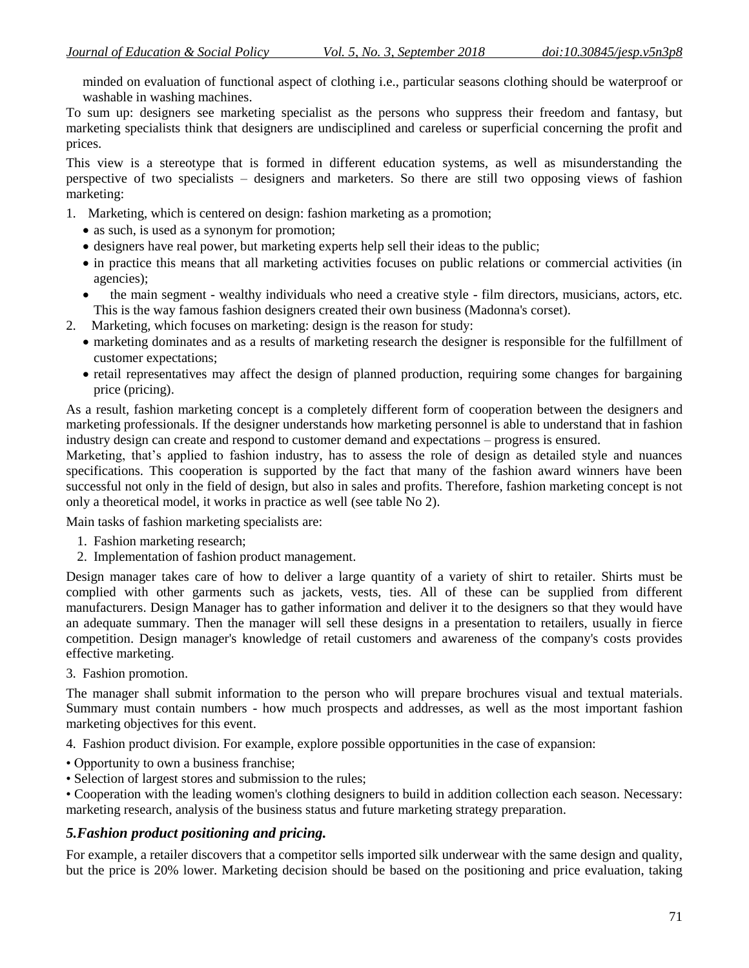minded on evaluation of functional aspect of clothing i.e., particular seasons clothing should be waterproof or washable in washing machines.

To sum up: designers see marketing specialist as the persons who suppress their freedom and fantasy, but marketing specialists think that designers are undisciplined and careless or superficial concerning the profit and prices.

This view is a stereotype that is formed in different education systems, as well as misunderstanding the perspective of two specialists – designers and marketers. So there are still two opposing views of fashion marketing:

- 1. Marketing, which is centered on design: fashion marketing as a promotion;
	- as such, is used as a synonym for promotion;
	- designers have real power, but marketing experts help sell their ideas to the public;
	- in practice this means that all marketing activities focuses on public relations or commercial activities (in agencies);
	- the main segment wealthy individuals who need a creative style film directors, musicians, actors, etc. This is the way famous fashion designers created their own business (Madonna's corset).
- 2. Marketing, which focuses on marketing: design is the reason for study:
	- marketing dominates and as a results of marketing research the designer is responsible for the fulfillment of customer expectations;
	- retail representatives may affect the design of planned production, requiring some changes for bargaining price (pricing).

As a result, fashion marketing concept is a completely different form of cooperation between the designers and marketing professionals. If the designer understands how marketing personnel is able to understand that in fashion industry design can create and respond to customer demand and expectations – progress is ensured.

Marketing, that's applied to fashion industry, has to assess the role of design as detailed style and nuances specifications. This cooperation is supported by the fact that many of the fashion award winners have been successful not only in the field of design, but also in sales and profits. Therefore, fashion marketing concept is not only a theoretical model, it works in practice as well (see table No 2).

Main tasks of fashion marketing specialists are:

- 1. Fashion marketing research;
- 2. Implementation of fashion product management.

Design manager takes care of how to deliver a large quantity of a variety of shirt to retailer. Shirts must be complied with other garments such as jackets, vests, ties. All of these can be supplied from different manufacturers. Design Manager has to gather information and deliver it to the designers so that they would have an adequate summary. Then the manager will sell these designs in a presentation to retailers, usually in fierce competition. Design manager's knowledge of retail customers and awareness of the company's costs provides effective marketing.

3. Fashion promotion.

The manager shall submit information to the person who will prepare brochures visual and textual materials. Summary must contain numbers - how much prospects and addresses, as well as the most important fashion marketing objectives for this event.

4. Fashion product division. For example, explore possible opportunities in the case of expansion:

- Opportunity to own a business franchise;
- Selection of largest stores and submission to the rules;

• Cooperation with the leading women's clothing designers to build in addition collection each season. Necessary: marketing research, analysis of the business status and future marketing strategy preparation.

### *5.Fashion product positioning and pricing.*

For example, a retailer discovers that a competitor sells imported silk underwear with the same design and quality, but the price is 20% lower. Marketing decision should be based on the positioning and price evaluation, taking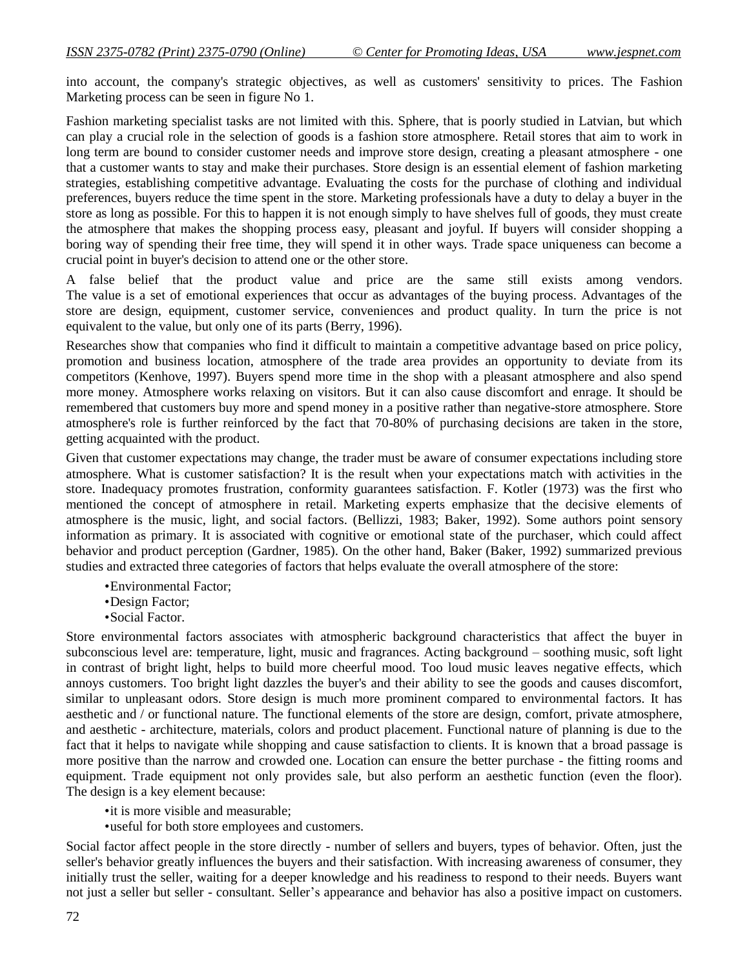into account, the company's strategic objectives, as well as customers' sensitivity to prices. The Fashion Marketing process can be seen in figure No 1.

Fashion marketing specialist tasks are not limited with this. Sphere, that is poorly studied in Latvian, but which can play a crucial role in the selection of goods is a fashion store atmosphere. Retail stores that aim to work in long term are bound to consider customer needs and improve store design, creating a pleasant atmosphere - one that a customer wants to stay and make their purchases. Store design is an essential element of fashion marketing strategies, establishing competitive advantage. Evaluating the costs for the purchase of clothing and individual preferences, buyers reduce the time spent in the store. Marketing professionals have a duty to delay a buyer in the store as long as possible. For this to happen it is not enough simply to have shelves full of goods, they must create the atmosphere that makes the shopping process easy, pleasant and joyful. If buyers will consider shopping a boring way of spending their free time, they will spend it in other ways. Trade space uniqueness can become a crucial point in buyer's decision to attend one or the other store.

A false belief that the product value and price are the same still exists among vendors. The value is a set of emotional experiences that occur as advantages of the buying process. Advantages of the store are design, equipment, customer service, conveniences and product quality. In turn the price is not equivalent to the value, but only one of its parts (Berry, 1996).

Researches show that companies who find it difficult to maintain a competitive advantage based on price policy, promotion and business location, atmosphere of the trade area provides an opportunity to deviate from its competitors (Kenhove, 1997). Buyers spend more time in the shop with a pleasant atmosphere and also spend more money. Atmosphere works relaxing on visitors. But it can also cause discomfort and enrage. It should be remembered that customers buy more and spend money in a positive rather than negative-store atmosphere. Store atmosphere's role is further reinforced by the fact that 70-80% of purchasing decisions are taken in the store, getting acquainted with the product.

Given that customer expectations may change, the trader must be aware of consumer expectations including store atmosphere. What is customer satisfaction? It is the result when your expectations match with activities in the store. Inadequacy promotes frustration, conformity guarantees satisfaction. F. Kotler (1973) was the first who mentioned the concept of atmosphere in retail. Marketing experts emphasize that the decisive elements of atmosphere is the music, light, and social factors. (Bellizzi, 1983; Baker, 1992). Some authors point sensory information as primary. It is associated with cognitive or emotional state of the purchaser, which could affect behavior and product perception (Gardner, 1985). On the other hand, Baker (Baker, 1992) summarized previous studies and extracted three categories of factors that helps evaluate the overall atmosphere of the store:

- •Environmental Factor;
- •Design Factor;
- •Social Factor.

Store environmental factors associates with atmospheric background characteristics that affect the buyer in subconscious level are: temperature, light, music and fragrances. Acting background – soothing music, soft light in contrast of bright light, helps to build more cheerful mood. Too loud music leaves negative effects, which annoys customers. Too bright light dazzles the buyer's and their ability to see the goods and causes discomfort, similar to unpleasant odors. Store design is much more prominent compared to environmental factors. It has aesthetic and / or functional nature. The functional elements of the store are design, comfort, private atmosphere, and aesthetic - architecture, materials, colors and product placement. Functional nature of planning is due to the fact that it helps to navigate while shopping and cause satisfaction to clients. It is known that a broad passage is more positive than the narrow and crowded one. Location can ensure the better purchase - the fitting rooms and equipment. Trade equipment not only provides sale, but also perform an aesthetic function (even the floor). The design is a key element because:

•it is more visible and measurable;

•useful for both store employees and customers.

Social factor affect people in the store directly - number of sellers and buyers, types of behavior. Often, just the seller's behavior greatly influences the buyers and their satisfaction. With increasing awareness of consumer, they initially trust the seller, waiting for a deeper knowledge and his readiness to respond to their needs. Buyers want not just a seller but seller - consultant. Seller's appearance and behavior has also a positive impact on customers.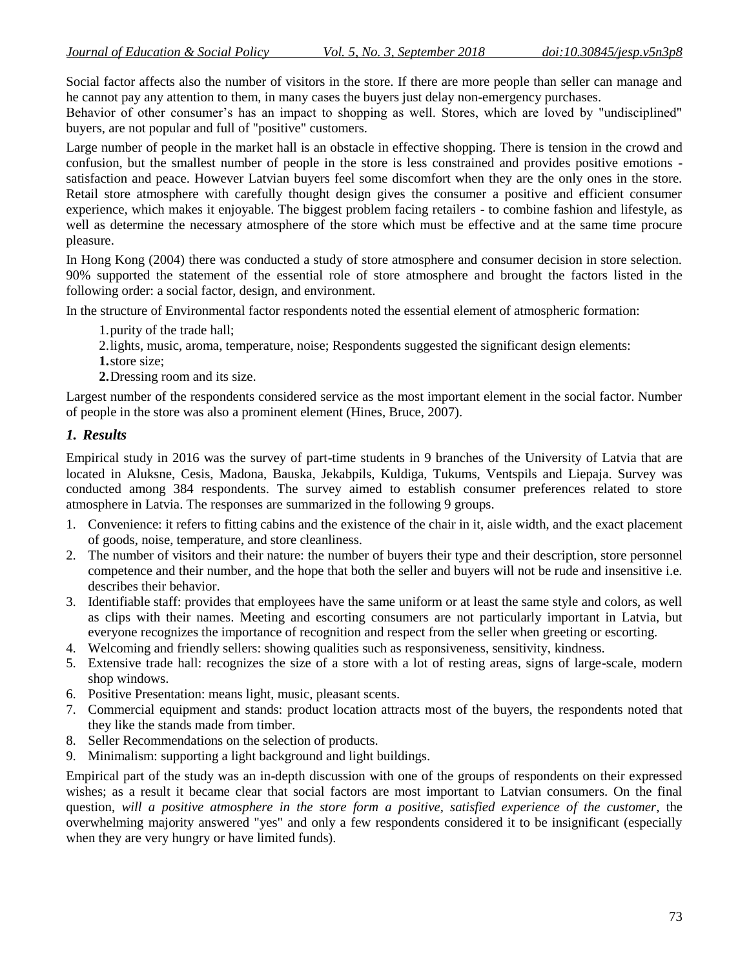Social factor affects also the number of visitors in the store. If there are more people than seller can manage and he cannot pay any attention to them, in many cases the buyers just delay non-emergency purchases.

Behavior of other consumer's has an impact to shopping as well. Stores, which are loved by "undisciplined" buyers, are not popular and full of "positive" customers.

Large number of people in the market hall is an obstacle in effective shopping. There is tension in the crowd and confusion, but the smallest number of people in the store is less constrained and provides positive emotions satisfaction and peace. However Latvian buyers feel some discomfort when they are the only ones in the store. Retail store atmosphere with carefully thought design gives the consumer a positive and efficient consumer experience, which makes it enjoyable. The biggest problem facing retailers - to combine fashion and lifestyle, as well as determine the necessary atmosphere of the store which must be effective and at the same time procure pleasure.

In Hong Kong (2004) there was conducted a study of store atmosphere and consumer decision in store selection. 90% supported the statement of the essential role of store atmosphere and brought the factors listed in the following order: a social factor, design, and environment.

In the structure of Environmental factor respondents noted the essential element of atmospheric formation:

1.purity of the trade hall;

- 2.lights, music, aroma, temperature, noise; Respondents suggested the significant design elements:
- **1.**store size;
- **2.**Dressing room and its size.

Largest number of the respondents considered service as the most important element in the social factor. Number of people in the store was also a prominent element (Hines, Bruce, 2007).

### *1. Results*

Empirical study in 2016 was the survey of part-time students in 9 branches of the University of Latvia that are located in Aluksne, Cesis, Madona, Bauska, Jekabpils, Kuldiga, Tukums, Ventspils and Liepaja. Survey was conducted among 384 respondents. The survey aimed to establish consumer preferences related to store atmosphere in Latvia. The responses are summarized in the following 9 groups.

- 1. Convenience: it refers to fitting cabins and the existence of the chair in it, aisle width, and the exact placement of goods, noise, temperature, and store cleanliness.
- 2. The number of visitors and their nature: the number of buyers their type and their description, store personnel competence and their number, and the hope that both the seller and buyers will not be rude and insensitive i.e. describes their behavior.
- 3. Identifiable staff: provides that employees have the same uniform or at least the same style and colors, as well as clips with their names. Meeting and escorting consumers are not particularly important in Latvia, but everyone recognizes the importance of recognition and respect from the seller when greeting or escorting.
- 4. Welcoming and friendly sellers: showing qualities such as responsiveness, sensitivity, kindness.
- 5. Extensive trade hall: recognizes the size of a store with a lot of resting areas, signs of large-scale, modern shop windows.
- 6. Positive Presentation: means light, music, pleasant scents.
- 7. Commercial equipment and stands: product location attracts most of the buyers, the respondents noted that they like the stands made from timber.
- 8. Seller Recommendations on the selection of products.
- 9. Minimalism: supporting a light background and light buildings.

Empirical part of the study was an in-depth discussion with one of the groups of respondents on their expressed wishes; as a result it became clear that social factors are most important to Latvian consumers. On the final question, *will a positive atmosphere in the store form a positive, satisfied experience of the customer*, the overwhelming majority answered "yes" and only a few respondents considered it to be insignificant (especially when they are very hungry or have limited funds).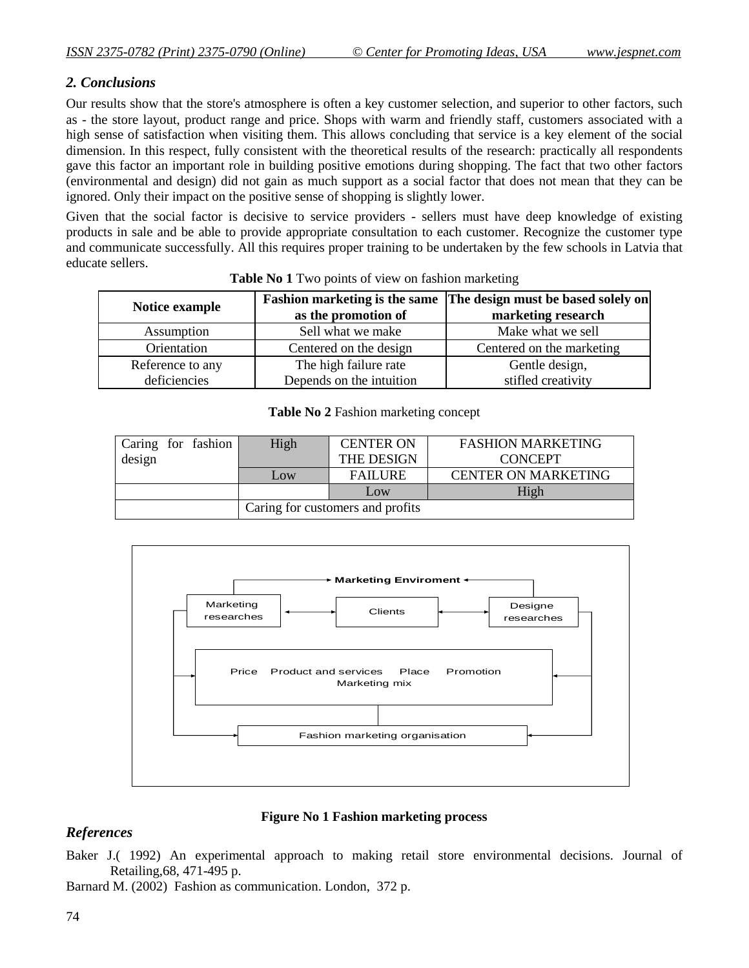# *2. Conclusions*

Our results show that the store's atmosphere is often a key customer selection, and superior to other factors, such as - the store layout, product range and price. Shops with warm and friendly staff, customers associated with a high sense of satisfaction when visiting them. This allows concluding that service is a key element of the social dimension. In this respect, fully consistent with the theoretical results of the research: practically all respondents gave this factor an important role in building positive emotions during shopping. The fact that two other factors (environmental and design) did not gain as much support as a social factor that does not mean that they can be ignored. Only their impact on the positive sense of shopping is slightly lower.

Given that the social factor is decisive to service providers - sellers must have deep knowledge of existing products in sale and be able to provide appropriate consultation to each customer. Recognize the customer type and communicate successfully. All this requires proper training to be undertaken by the few schools in Latvia that educate sellers.

| Notice example   | as the promotion of      | Fashion marketing is the same The design must be based solely on<br>marketing research |
|------------------|--------------------------|----------------------------------------------------------------------------------------|
| Assumption       | Sell what we make        | Make what we sell                                                                      |
| Orientation      | Centered on the design   | Centered on the marketing                                                              |
| Reference to any | The high failure rate    | Gentle design,                                                                         |
| deficiencies     | Depends on the intuition | stifled creativity                                                                     |

#### **Table No 1** Two points of view on fashion marketing

### **Table No 2** Fashion marketing concept

| Caring for fashion | High                             | <b>CENTER ON</b> | <b>FASHION MARKETING</b>   |
|--------------------|----------------------------------|------------------|----------------------------|
| design             |                                  | THE DESIGN       | <b>CONCEPT</b>             |
|                    | Low                              | <b>FAILURE</b>   | <b>CENTER ON MARKETING</b> |
|                    |                                  | Low              | High                       |
|                    | Caring for customers and profits |                  |                            |



### **Figure No 1 Fashion marketing process**

## *References*

Baker J.( 1992) An experimental approach to making retail store environmental decisions. Journal of Retailing,68, 471-495 p.

Barnard M. (2002) Fashion as communication. London, 372 p.